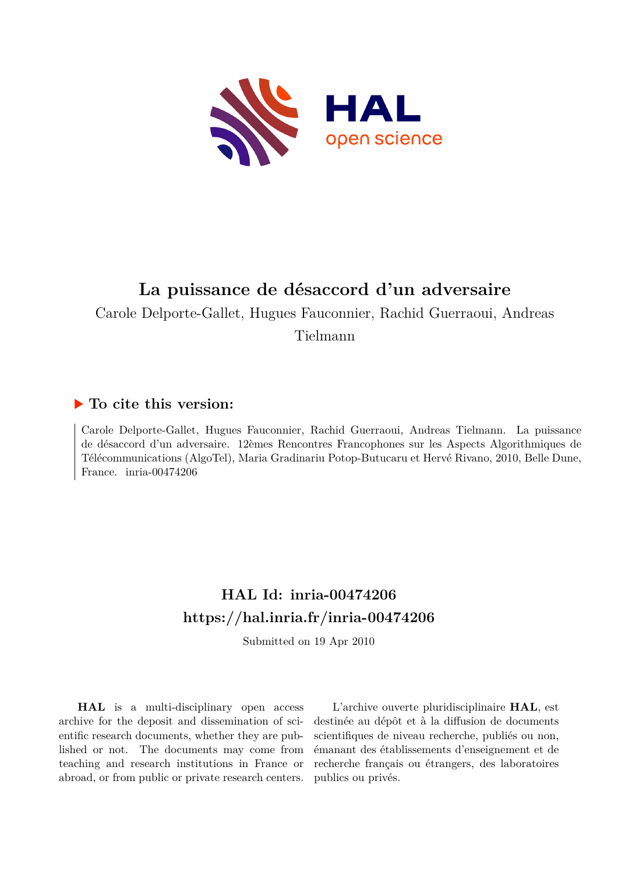

# **La puissance de désaccord d'un adversaire**

Carole Delporte-Gallet, Hugues Fauconnier, Rachid Guerraoui, Andreas

Tielmann

### **To cite this version:**

Carole Delporte-Gallet, Hugues Fauconnier, Rachid Guerraoui, Andreas Tielmann. La puissance de désaccord d'un adversaire. 12èmes Rencontres Francophones sur les Aspects Algorithmiques de Télécommunications (AlgoTel), Maria Gradinariu Potop-Butucaru et Hervé Rivano, 2010, Belle Dune, France. inria- $00474206$ 

# **HAL Id: inria-00474206 <https://hal.inria.fr/inria-00474206>**

Submitted on 19 Apr 2010

**HAL** is a multi-disciplinary open access archive for the deposit and dissemination of scientific research documents, whether they are published or not. The documents may come from teaching and research institutions in France or abroad, or from public or private research centers.

L'archive ouverte pluridisciplinaire **HAL**, est destinée au dépôt et à la diffusion de documents scientifiques de niveau recherche, publiés ou non, émanant des établissements d'enseignement et de recherche français ou étrangers, des laboratoires publics ou privés.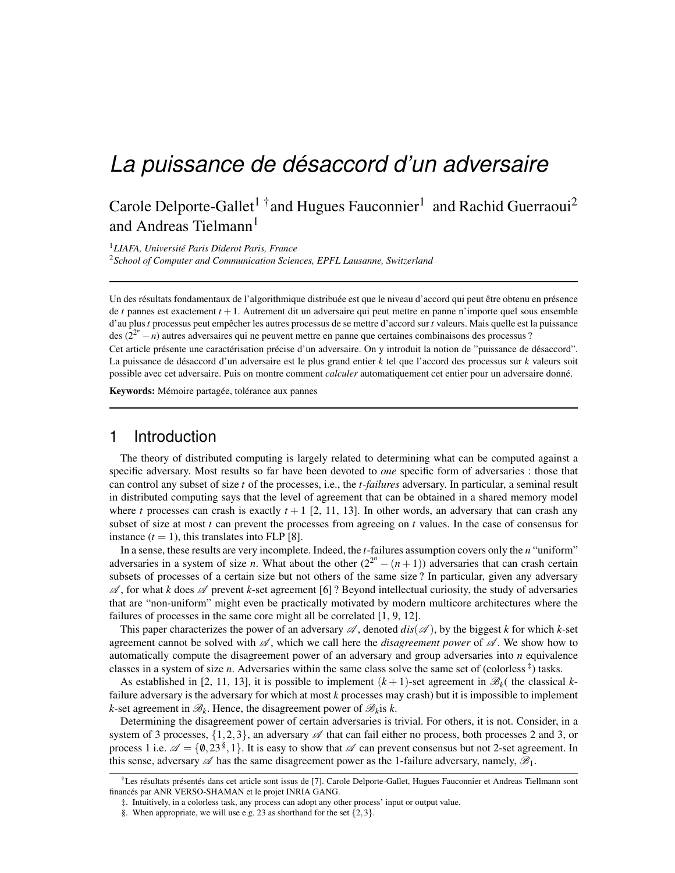# *La puissance de desaccord d'un adversaire ´*

## Carole Delporte-Gallet<sup>1†</sup> and Hugues Fauconnier<sup>1</sup> and Rachid Guerraoui<sup>2</sup> and Andreas Tielmann<sup>1</sup>

<sup>1</sup>*LIAFA, Universite Paris Diderot Paris, France ´* <sup>2</sup>*School of Computer and Communication Sciences, EPFL Lausanne, Switzerland*

Un des résultats fondamentaux de l'algorithmique distribuée est que le niveau d'accord qui peut être obtenu en présence de *t* pannes est exactement *t* +1. Autrement dit un adversaire qui peut mettre en panne n'importe quel sous ensemble d'au plus *t* processus peut empêcher les autres processus de se mettre d'accord sur *t* valeurs. Mais quelle est la puissance des  $(2^{2^n} - n)$  autres adversaires qui ne peuvent mettre en panne que certaines combinaisons des processus ?

Cet article présente une caractérisation précise d'un adversaire. On y introduit la notion de "puissance de désaccord". La puissance de désaccord d'un adversaire est le plus grand entier  $k$  tel que l'accord des processus sur  $k$  valeurs soit possible avec cet adversaire. Puis on montre comment *calculer* automatiquement cet entier pour un adversaire donné.

Keywords: Mémoire partagée, tolérance aux pannes

#### 1 Introduction

The theory of distributed computing is largely related to determining what can be computed against a specific adversary. Most results so far have been devoted to *one* specific form of adversaries : those that can control any subset of size *t* of the processes, i.e., the *t-failures* adversary. In particular, a seminal result in distributed computing says that the level of agreement that can be obtained in a shared memory model where *t* processes can crash is exactly  $t + 1$  [2, 11, 13]. In other words, an adversary that can crash any subset of size at most *t* can prevent the processes from agreeing on *t* values. In the case of consensus for instance  $(t = 1)$ , this translates into FLP [8].

In a sense, these results are very incomplete. Indeed, the *t*-failures assumption covers only the *n* "uniform" adversaries in a system of size *n*. What about the other  $(2^{2^n} - (n+1))$  adversaries that can crash certain subsets of processes of a certain size but not others of the same size ? In particular, given any adversary  $\mathscr A$ , for what *k* does  $\mathscr A$  prevent *k*-set agreement [6] ? Beyond intellectual curiosity, the study of adversaries that are "non-uniform" might even be practically motivated by modern multicore architectures where the failures of processes in the same core might all be correlated [1, 9, 12].

This paper characterizes the power of an adversary  $\mathscr A$ , denoted  $dis(\mathscr A)$ , by the biggest *k* for which *k*-set agreement cannot be solved with  $\mathscr{A}$ , which we call here the *disagreement power* of  $\mathscr{A}$ . We show how to automatically compute the disagreement power of an adversary and group adversaries into *n* equivalence classes in a system of size *n*. Adversaries within the same class solve the same set of (colorless<sup>‡</sup>) tasks.

As established in [2, 11, 13], it is possible to implement  $(k+1)$ -set agreement in  $\mathcal{B}_k$ ( the classical *k*failure adversary is the adversary for which at most *k* processes may crash) but it is impossible to implement  $k$ -set agreement in  $\mathscr{B}_k$ . Hence, the disagreement power of  $\mathscr{B}_k$  is  $k$ .

Determining the disagreement power of certain adversaries is trivial. For others, it is not. Consider, in a system of 3 processes,  $\{1,2,3\}$ , an adversary  $\mathscr A$  that can fail either no process, both processes 2 and 3, or process 1 i.e.  $\mathscr{A} = \{0, 23^{\$}, 1\}$ . It is easy to show that  $\mathscr{A}$  can prevent consensus but not 2-set agreement. In this sense, adversary  $\mathscr A$  has the same disagreement power as the 1-failure adversary, namely,  $\mathscr B_1$ .

<sup>&</sup>lt;sup>†</sup>Les résultats présentés dans cet article sont issus de [7]. Carole Delporte-Gallet, Hugues Fauconnier et Andreas Tiellmann sont financés par ANR VERSO-SHAMAN et le projet INRIA GANG.

<sup>‡.</sup> Intuitively, in a colorless task, any process can adopt any other process' input or output value.

<sup>§.</sup> When appropriate, we will use e.g. 23 as shorthand for the set  $\{2,3\}$ .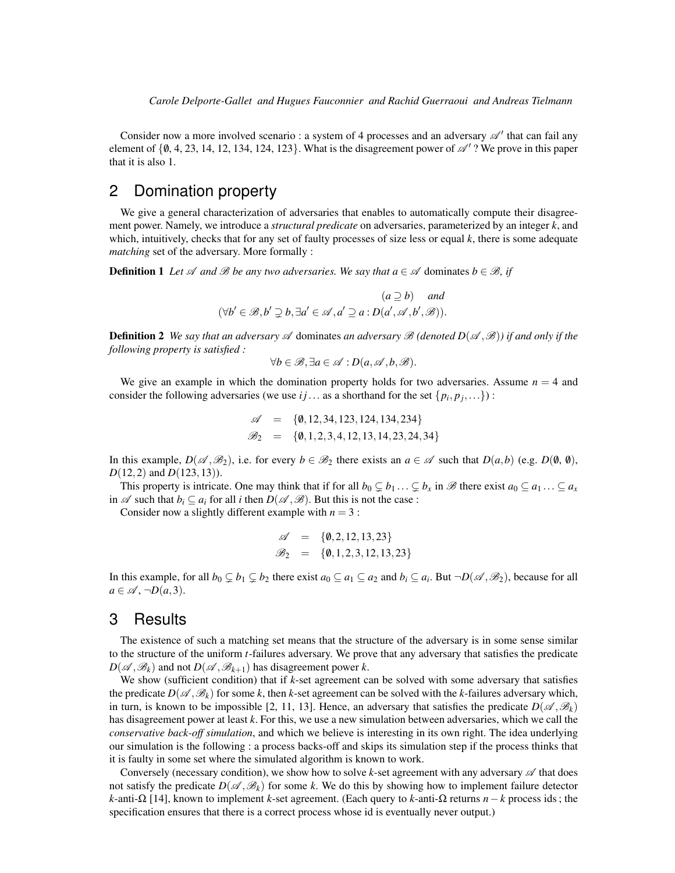*Carole Delporte-Gallet and Hugues Fauconnier and Rachid Guerraoui and Andreas Tielmann*

Consider now a more involved scenario : a system of 4 processes and an adversary  $\mathscr{A}'$  that can fail any element of  $\{0, 4, 23, 14, 12, 134, 124, 123\}$ . What is the disagreement power of  $\mathscr{A}'$ ? We prove in this paper that it is also 1.

### 2 Domination property

We give a general characterization of adversaries that enables to automatically compute their disagreement power. Namely, we introduce a *structural predicate* on adversaries, parameterized by an integer *k*, and which, intuitively, checks that for any set of faulty processes of size less or equal *k*, there is some adequate *matching* set of the adversary. More formally :

**Definition 1** *Let*  $\mathscr A$  *and*  $\mathscr B$  *be any two adversaries. We say that*  $a \in \mathscr A$  dominates  $b \in \mathscr B$ *, if* 

$$
(a \supseteq b) \quad \text{and}
$$

$$
(\forall b' \in \mathcal{B}, b' \supsetneq b, \exists a' \in \mathcal{A}, a' \supseteq a : D(a', \mathcal{A}, b', \mathcal{B})).
$$

**Definition 2** We say that an adversary  $\mathscr A$  dominates an adversary  $\mathscr B$  (denoted  $D(\mathscr A,\mathscr B)$ ) if and only if the *following property is satisfied :*

$$
\forall b \in \mathscr{B}, \exists a \in \mathscr{A} : D(a, \mathscr{A}, b, \mathscr{B}).
$$

We give an example in which the domination property holds for two adversaries. Assume  $n = 4$  and consider the following adversaries (we use *i j* ... as a shorthand for the set  $\{p_i, p_j, ...\}$ ):

$$
\mathscr{A} = \{0, 12, 34, 123, 124, 134, 234\}
$$
  

$$
\mathscr{B}_2 = \{0, 1, 2, 3, 4, 12, 13, 14, 23, 24, 34\}
$$

In this example,  $D(\mathscr{A}, \mathscr{B}_2)$ , i.e. for every  $b \in \mathscr{B}_2$  there exists an  $a \in \mathscr{A}$  such that  $D(a, b)$  (e.g.  $D(\emptyset, \emptyset)$ , *D*(12,2) and *D*(123, 13)).

This property is intricate. One may think that if for all  $b_0 \subsetneq b_1 \ldots \subsetneq b_x$  in  $\mathscr B$  there exist  $a_0 \subsetneq a_1 \ldots \subsetneq a_x$ in  $\mathscr A$  such that  $b_i \subseteq a_i$  for all *i* then  $D(\mathscr A, \mathscr B)$ . But this is not the case :

Consider now a slightly different example with  $n = 3$ :

$$
\begin{array}{rcl} \mathscr{A} & = & \{0, 2, 12, 13, 23\} \\ \mathscr{B}_2 & = & \{0, 1, 2, 3, 12, 13, 23\} \end{array}
$$

In this example, for all  $b_0 \subsetneq b_1 \subsetneq b_2$  there exist  $a_0 \subsetneq a_1 \subsetneq a_2$  and  $b_i \subsetneq a_i$ . But  $\neg D(\mathscr{A}, \mathscr{B}_2)$ , because for all  $a \in \mathscr{A}, \neg D(a,3).$ 

#### 3 Results

The existence of such a matching set means that the structure of the adversary is in some sense similar to the structure of the uniform *t*-failures adversary. We prove that any adversary that satisfies the predicate  $D(\mathscr{A}, \mathscr{B}_k)$  and not  $D(\mathscr{A}, \mathscr{B}_{k+1})$  has disagreement power *k*.

We show (sufficient condition) that if *k*-set agreement can be solved with some adversary that satisfies the predicate  $D(\mathscr{A}, \mathscr{B}_k)$  for some *k*, then *k*-set agreement can be solved with the *k*-failures adversary which, in turn, is known to be impossible [2, 11, 13]. Hence, an adversary that satisfies the predicate  $D(\mathscr{A}, \mathscr{B}_k)$ has disagreement power at least *k*. For this, we use a new simulation between adversaries, which we call the *conservative back-off simulation*, and which we believe is interesting in its own right. The idea underlying our simulation is the following : a process backs-off and skips its simulation step if the process thinks that it is faulty in some set where the simulated algorithm is known to work.

Conversely (necessary condition), we show how to solve  $k$ -set agreement with any adversary  $\mathscr A$  that does not satisfy the predicate  $D(\mathscr{A}, \mathscr{B}_k)$  for some k. We do this by showing how to implement failure detector *k*-anti-Ω [14], known to implement *k*-set agreement. (Each query to *k*-anti-Ω returns *n*−*k* process ids ; the specification ensures that there is a correct process whose id is eventually never output.)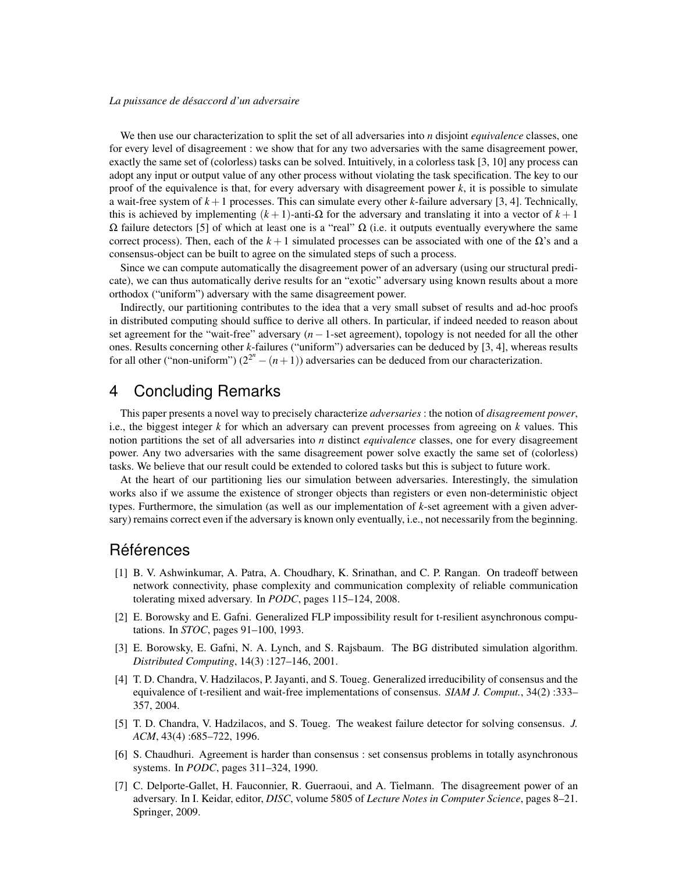#### *La puissance de desaccord d'un adversaire ´*

We then use our characterization to split the set of all adversaries into *n* disjoint *equivalence* classes, one for every level of disagreement : we show that for any two adversaries with the same disagreement power, exactly the same set of (colorless) tasks can be solved. Intuitively, in a colorless task [3, 10] any process can adopt any input or output value of any other process without violating the task specification. The key to our proof of the equivalence is that, for every adversary with disagreement power *k*, it is possible to simulate a wait-free system of  $k+1$  processes. This can simulate every other  $k$ -failure adversary [3, 4]. Technically, this is achieved by implementing (*k* + 1)-anti-Ω for the adversary and translating it into a vector of *k* + 1  $Ω$  failure detectors [5] of which at least one is a "real"  $Ω$  (i.e. it outputs eventually everywhere the same correct process). Then, each of the  $k+1$  simulated processes can be associated with one of the  $\Omega$ 's and a consensus-object can be built to agree on the simulated steps of such a process.

Since we can compute automatically the disagreement power of an adversary (using our structural predicate), we can thus automatically derive results for an "exotic" adversary using known results about a more orthodox ("uniform") adversary with the same disagreement power.

Indirectly, our partitioning contributes to the idea that a very small subset of results and ad-hoc proofs in distributed computing should suffice to derive all others. In particular, if indeed needed to reason about set agreement for the "wait-free" adversary (*n*−1-set agreement), topology is not needed for all the other ones. Results concerning other *k*-failures ("uniform") adversaries can be deduced by [3, 4], whereas results for all other ("non-uniform")  $(2^{2^n} - (n+1))$  adversaries can be deduced from our characterization.

### 4 Concluding Remarks

This paper presents a novel way to precisely characterize *adversaries* : the notion of *disagreement power*, i.e., the biggest integer *k* for which an adversary can prevent processes from agreeing on *k* values. This notion partitions the set of all adversaries into *n* distinct *equivalence* classes, one for every disagreement power. Any two adversaries with the same disagreement power solve exactly the same set of (colorless) tasks. We believe that our result could be extended to colored tasks but this is subject to future work.

At the heart of our partitioning lies our simulation between adversaries. Interestingly, the simulation works also if we assume the existence of stronger objects than registers or even non-deterministic object types. Furthermore, the simulation (as well as our implementation of *k*-set agreement with a given adversary) remains correct even if the adversary is known only eventually, i.e., not necessarily from the beginning.

#### Références

- [1] B. V. Ashwinkumar, A. Patra, A. Choudhary, K. Srinathan, and C. P. Rangan. On tradeoff between network connectivity, phase complexity and communication complexity of reliable communication tolerating mixed adversary. In *PODC*, pages 115–124, 2008.
- [2] E. Borowsky and E. Gafni. Generalized FLP impossibility result for t-resilient asynchronous computations. In *STOC*, pages 91–100, 1993.
- [3] E. Borowsky, E. Gafni, N. A. Lynch, and S. Rajsbaum. The BG distributed simulation algorithm. *Distributed Computing*, 14(3) :127–146, 2001.
- [4] T. D. Chandra, V. Hadzilacos, P. Jayanti, and S. Toueg. Generalized irreducibility of consensus and the equivalence of t-resilient and wait-free implementations of consensus. *SIAM J. Comput.*, 34(2) :333– 357, 2004.
- [5] T. D. Chandra, V. Hadzilacos, and S. Toueg. The weakest failure detector for solving consensus. *J. ACM*, 43(4) :685–722, 1996.
- [6] S. Chaudhuri. Agreement is harder than consensus : set consensus problems in totally asynchronous systems. In *PODC*, pages 311–324, 1990.
- [7] C. Delporte-Gallet, H. Fauconnier, R. Guerraoui, and A. Tielmann. The disagreement power of an adversary. In I. Keidar, editor, *DISC*, volume 5805 of *Lecture Notes in Computer Science*, pages 8–21. Springer, 2009.